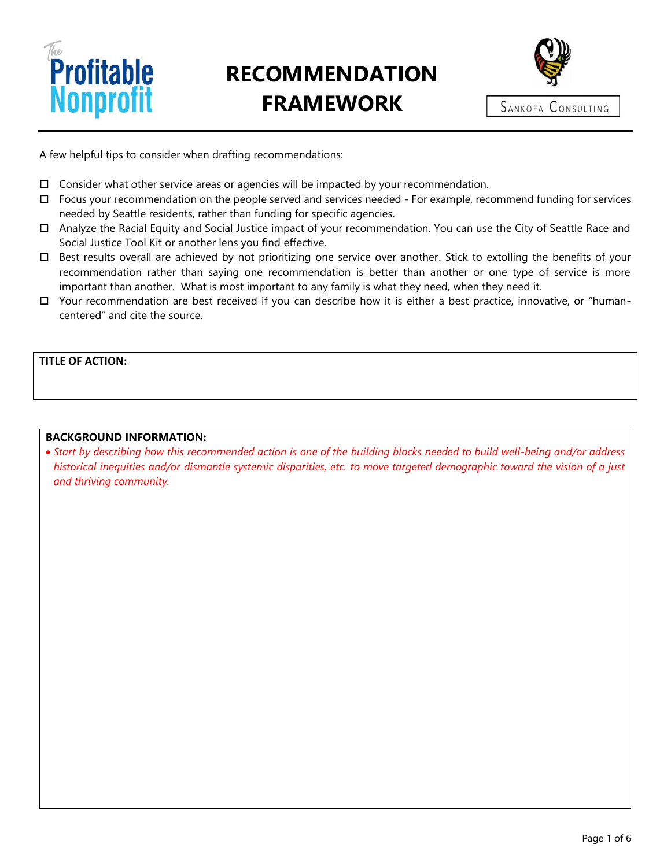

# **RECOMMENDATION FRAMEWORK**



A few helpful tips to consider when drafting recommendations:

- $\Box$  Consider what other service areas or agencies will be impacted by your recommendation.
- $\Box$  Focus your recommendation on the people served and services needed For example, recommend funding for services needed by Seattle residents, rather than funding for specific agencies.
- Analyze the Racial Equity and Social Justice impact of your recommendation. You can use the City of Seattle Race and Social Justice Tool Kit or another lens you find effective.
- Best results overall are achieved by not prioritizing one service over another. Stick to extolling the benefits of your recommendation rather than saying one recommendation is better than another or one type of service is more important than another. What is most important to any family is what they need, when they need it.
- Your recommendation are best received if you can describe how it is either a best practice, innovative, or "humancentered" and cite the source.

#### **TITLE OF ACTION:**

#### **BACKGROUND INFORMATION:**

• *Start by describing how this recommended action is one of the building blocks needed to build well-being and/or address historical inequities and/or dismantle systemic disparities, etc. to move targeted demographic toward the vision of a just and thriving community.*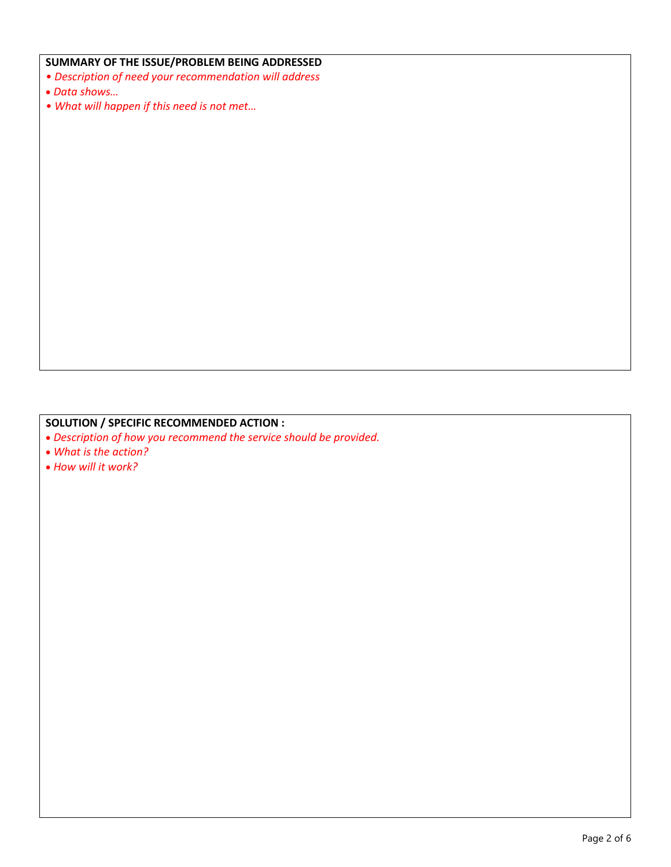#### **SUMMARY OF THE ISSUE/PROBLEM BEING ADDRESSED**

- *Description of need your recommendation will address*
- *Data shows…*
- *What will happen if this need is not met…*

## **SOLUTION / SPECIFIC RECOMMENDED ACTION :**

- *Description of how you recommend the service should be provided.*
- *What is the action?*
- *How will it work?*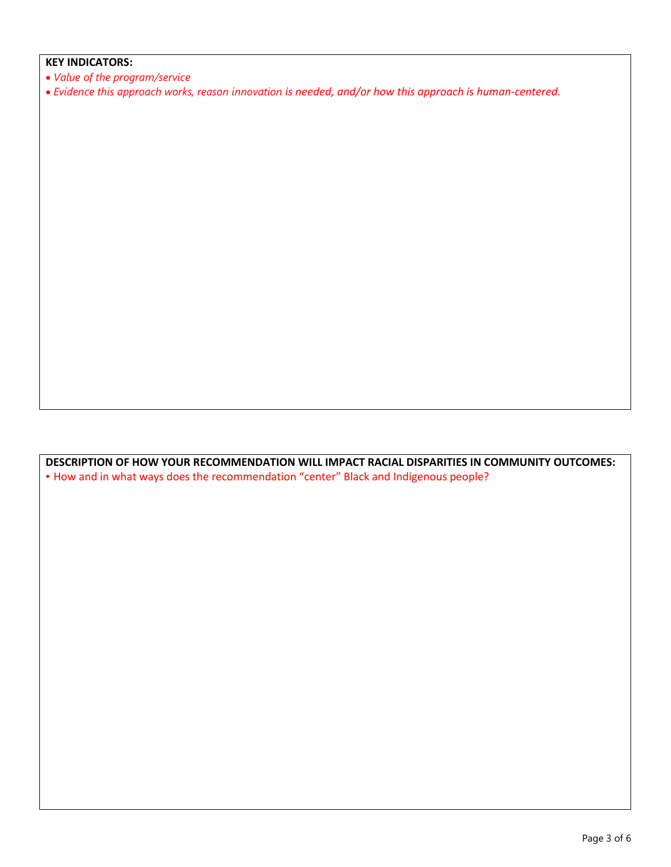#### **KEY INDICATORS:**

- *Value of the program/service*
- *Evidence this approach works, reason innovation is needed, and/or how this approach is human-centered.*

**DESCRIPTION OF HOW YOUR RECOMMENDATION WILL IMPACT RACIAL DISPARITIES IN COMMUNITY OUTCOMES:** • How and in what ways does the recommendation "center" Black and Indigenous people?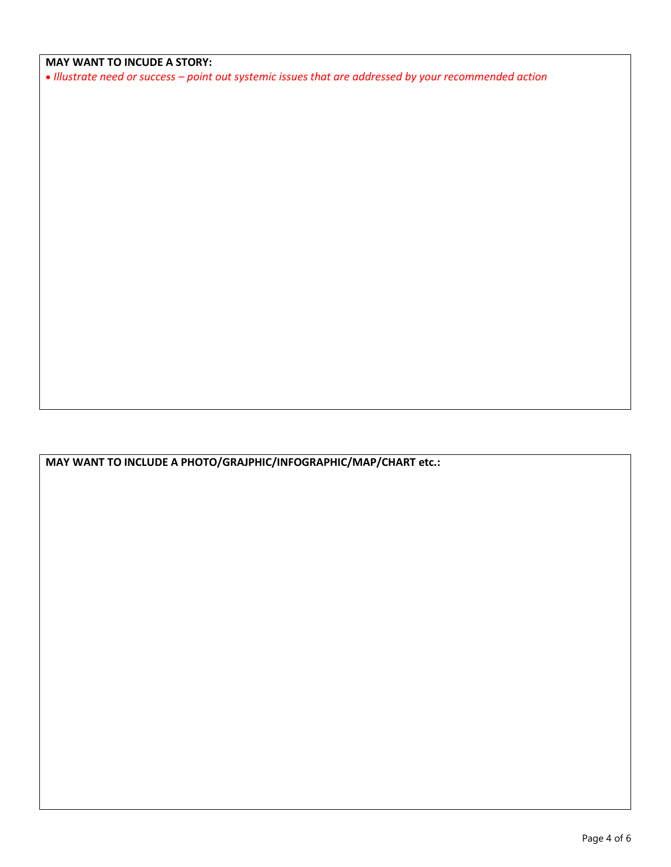### **MAY WANT TO INCUDE A STORY:**

• *Illustrate need or success – point out systemic issues that are addressed by your recommended action*

**MAY WANT TO INCLUDE A PHOTO/GRAJPHIC/INFOGRAPHIC/MAP/CHART etc.:**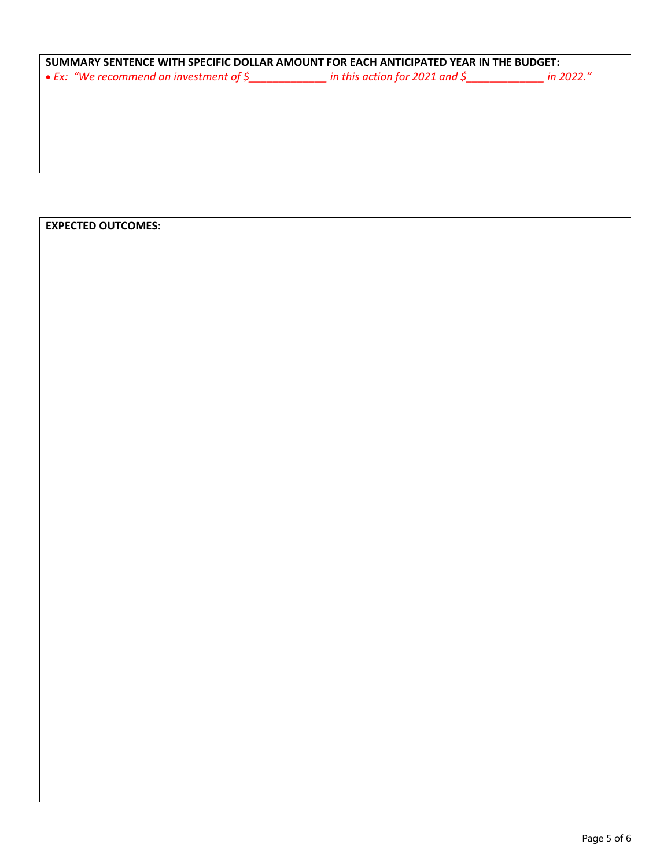| SUMMARY SENTENCE WITH SPECIFIC DOLLAR AMOUNT FOR EACH ANTICIPATED YEAR IN THE BUDGET:      |  |  |
|--------------------------------------------------------------------------------------------|--|--|
| • Ex: "We recommend an investment of $\zeta$ in this action for 2021 and $\zeta$ in 2022." |  |  |
|                                                                                            |  |  |
|                                                                                            |  |  |
|                                                                                            |  |  |
|                                                                                            |  |  |
|                                                                                            |  |  |
|                                                                                            |  |  |

## **EXPECTED OUTCOMES:**